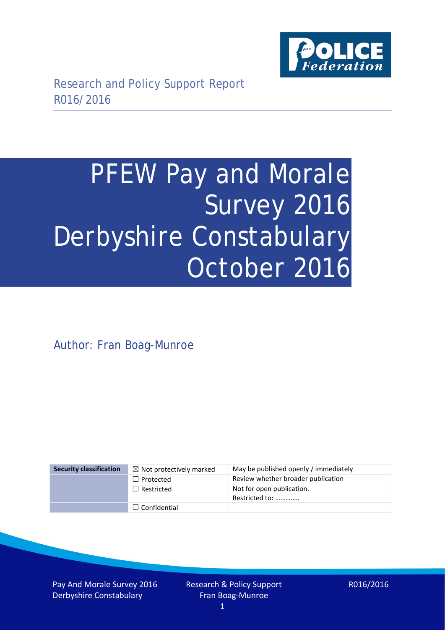

# PFEW Pay and Morale Survey 2016 Derbyshire Constabulary October 2016

Author: Fran Boag-Munroe

| <b>Security classification</b> | $\boxtimes$ Not protectively marked | May be published openly / immediately       |
|--------------------------------|-------------------------------------|---------------------------------------------|
|                                | $\Box$ Protected                    | Review whether broader publication          |
|                                | $\Box$ Restricted                   | Not for open publication.<br>Restricted to: |
|                                | $\Box$ Confidential                 |                                             |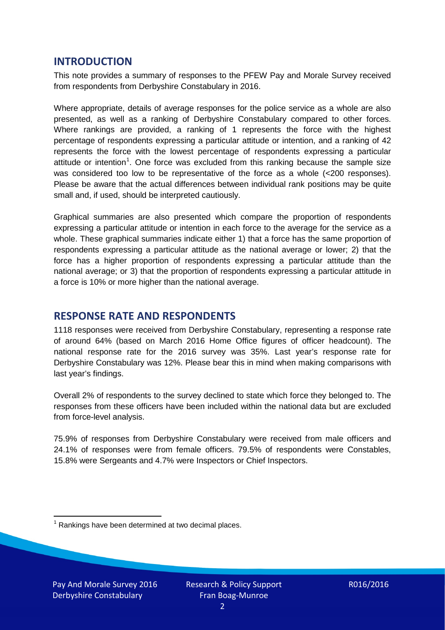## **INTRODUCTION**

This note provides a summary of responses to the PFEW Pay and Morale Survey received from respondents from Derbyshire Constabulary in 2016.

Where appropriate, details of average responses for the police service as a whole are also presented, as well as a ranking of Derbyshire Constabulary compared to other forces. Where rankings are provided, a ranking of 1 represents the force with the highest percentage of respondents expressing a particular attitude or intention, and a ranking of 42 represents the force with the lowest percentage of respondents expressing a particular attitude or intention<sup>[1](#page-1-0)</sup>. One force was excluded from this ranking because the sample size was considered too low to be representative of the force as a whole (<200 responses). Please be aware that the actual differences between individual rank positions may be quite small and, if used, should be interpreted cautiously.

Graphical summaries are also presented which compare the proportion of respondents expressing a particular attitude or intention in each force to the average for the service as a whole. These graphical summaries indicate either 1) that a force has the same proportion of respondents expressing a particular attitude as the national average or lower; 2) that the force has a higher proportion of respondents expressing a particular attitude than the national average; or 3) that the proportion of respondents expressing a particular attitude in a force is 10% or more higher than the national average.

# **RESPONSE RATE AND RESPONDENTS**

1118 responses were received from Derbyshire Constabulary, representing a response rate of around 64% (based on March 2016 Home Office figures of officer headcount). The national response rate for the 2016 survey was 35%. Last year's response rate for Derbyshire Constabulary was 12%. Please bear this in mind when making comparisons with last year's findings.

Overall 2% of respondents to the survey declined to state which force they belonged to. The responses from these officers have been included within the national data but are excluded from force-level analysis.

75.9% of responses from Derbyshire Constabulary were received from male officers and 24.1% of responses were from female officers. 79.5% of respondents were Constables, 15.8% were Sergeants and 4.7% were Inspectors or Chief Inspectors.

<span id="page-1-0"></span> $1$  Rankings have been determined at two decimal places.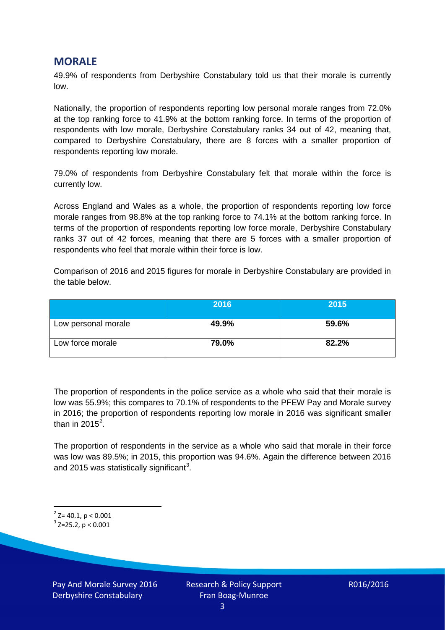## **MORALE**

49.9% of respondents from Derbyshire Constabulary told us that their morale is currently low.

Nationally, the proportion of respondents reporting low personal morale ranges from 72.0% at the top ranking force to 41.9% at the bottom ranking force. In terms of the proportion of respondents with low morale, Derbyshire Constabulary ranks 34 out of 42, meaning that, compared to Derbyshire Constabulary, there are 8 forces with a smaller proportion of respondents reporting low morale.

79.0% of respondents from Derbyshire Constabulary felt that morale within the force is currently low.

Across England and Wales as a whole, the proportion of respondents reporting low force morale ranges from 98.8% at the top ranking force to 74.1% at the bottom ranking force. In terms of the proportion of respondents reporting low force morale, Derbyshire Constabulary ranks 37 out of 42 forces, meaning that there are 5 forces with a smaller proportion of respondents who feel that morale within their force is low.

Comparison of 2016 and 2015 figures for morale in Derbyshire Constabulary are provided in the table below.

|                     | 2016  | 2015  |
|---------------------|-------|-------|
| Low personal morale | 49.9% | 59.6% |
| Low force morale    | 79.0% | 82.2% |

The proportion of respondents in the police service as a whole who said that their morale is low was 55.9%; this compares to 70.1% of respondents to the PFEW Pay and Morale survey in 2016; the proportion of respondents reporting low morale in 2016 was significant smaller than in [2](#page-2-0)015<sup>2</sup>.

The proportion of respondents in the service as a whole who said that morale in their force was low was 89.5%; in 2015, this proportion was 94.6%. Again the difference between 2016 and 2015 was statistically significant<sup>[3](#page-2-1)</sup>.

<span id="page-2-0"></span> $2$ <sup>2</sup> Z= 40.1, p < 0.001

<span id="page-2-1"></span> $3$  Z=25.2, p < 0.001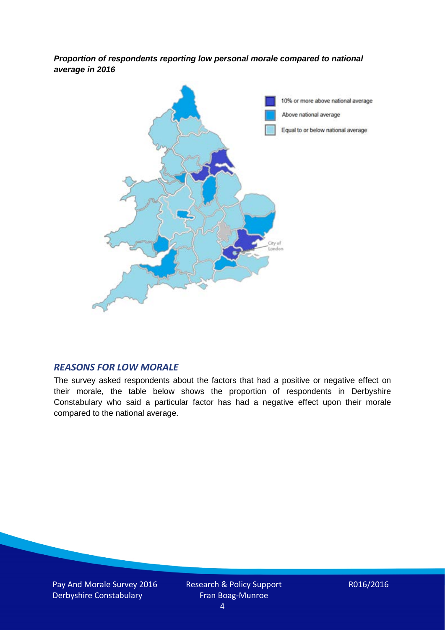*Proportion of respondents reporting low personal morale compared to national average in 2016*



#### *REASONS FOR LOW MORALE*

The survey asked respondents about the factors that had a positive or negative effect on their morale, the table below shows the proportion of respondents in Derbyshire Constabulary who said a particular factor has had a negative effect upon their morale compared to the national average.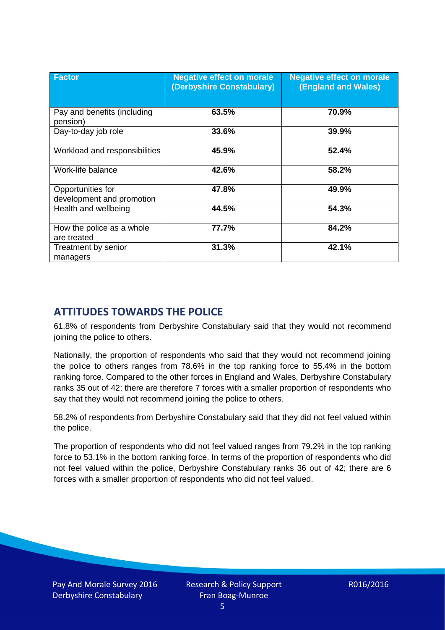| <b>Factor</b>                                  | <b>Negative effect on morale</b><br>(Derbyshire Constabulary) | <b>Negative effect on morale</b><br><b>(England and Wales)</b> |
|------------------------------------------------|---------------------------------------------------------------|----------------------------------------------------------------|
| Pay and benefits (including<br>pension)        | 63.5%                                                         | 70.9%                                                          |
| Day-to-day job role                            | 33.6%                                                         | 39.9%                                                          |
| Workload and responsibilities                  | 45.9%                                                         | 52.4%                                                          |
| Work-life balance                              | 42.6%                                                         | 58.2%                                                          |
| Opportunities for<br>development and promotion | 47.8%                                                         | 49.9%                                                          |
| Health and wellbeing                           | 44.5%                                                         | 54.3%                                                          |
| How the police as a whole<br>are treated       | 77.7%                                                         | 84.2%                                                          |
| Treatment by senior<br>managers                | 31.3%                                                         | 42.1%                                                          |

# **ATTITUDES TOWARDS THE POLICE**

61.8% of respondents from Derbyshire Constabulary said that they would not recommend joining the police to others.

Nationally, the proportion of respondents who said that they would not recommend joining the police to others ranges from 78.6% in the top ranking force to 55.4% in the bottom ranking force. Compared to the other forces in England and Wales, Derbyshire Constabulary ranks 35 out of 42; there are therefore 7 forces with a smaller proportion of respondents who say that they would not recommend joining the police to others.

58.2% of respondents from Derbyshire Constabulary said that they did not feel valued within the police.

The proportion of respondents who did not feel valued ranges from 79.2% in the top ranking force to 53.1% in the bottom ranking force. In terms of the proportion of respondents who did not feel valued within the police, Derbyshire Constabulary ranks 36 out of 42; there are 6 forces with a smaller proportion of respondents who did not feel valued.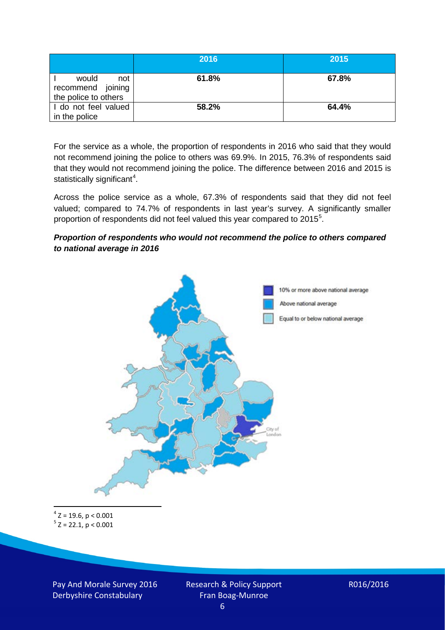|                                                           | 2016  | 2015  |
|-----------------------------------------------------------|-------|-------|
| would<br>not<br>recommend joining<br>the police to others | 61.8% | 67.8% |
| I do not feel valued<br>in the police                     | 58.2% | 64.4% |

For the service as a whole, the proportion of respondents in 2016 who said that they would not recommend joining the police to others was 69.9%. In 2015, 76.3% of respondents said that they would not recommend joining the police. The difference between 2016 and 2015 is statistically significant<sup>[4](#page-5-0)</sup>.

Across the police service as a whole, 67.3% of respondents said that they did not feel valued; compared to 74.7% of respondents in last year's survey. A significantly smaller proportion of respondents did not feel valued this year compared to 201[5](#page-5-1)<sup>5</sup>.

#### *Proportion of respondents who would not recommend the police to others compared to national average in 2016*



<span id="page-5-1"></span><span id="page-5-0"></span> $4$  Z = 19.6, p < 0.001  $5$  Z = 22.1, p < 0.001

Pay And Morale Survey 2016 Derbyshire Constabulary

Research & Policy Support Fran Boag-Munroe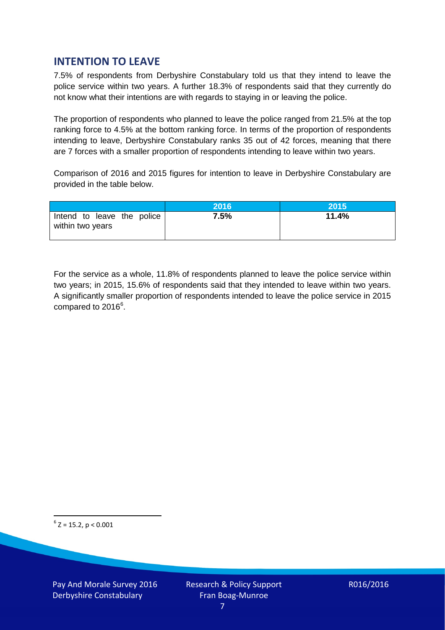# **INTENTION TO LEAVE**

7.5% of respondents from Derbyshire Constabulary told us that they intend to leave the police service within two years. A further 18.3% of respondents said that they currently do not know what their intentions are with regards to staying in or leaving the police.

The proportion of respondents who planned to leave the police ranged from 21.5% at the top ranking force to 4.5% at the bottom ranking force. In terms of the proportion of respondents intending to leave, Derbyshire Constabulary ranks 35 out of 42 forces, meaning that there are 7 forces with a smaller proportion of respondents intending to leave within two years.

Comparison of 2016 and 2015 figures for intention to leave in Derbyshire Constabulary are provided in the table below.

|                                                | 2016 | <b>2015</b> |
|------------------------------------------------|------|-------------|
| Intend to leave the police<br>within two years | 7.5% | 11.4%       |

For the service as a whole, 11.8% of respondents planned to leave the police service within two years; in 2015, 15.6% of respondents said that they intended to leave within two years. A significantly smaller proportion of respondents intended to leave the police service in 2015 compared to 201[6](#page-6-0)<sup>6</sup>.

<span id="page-6-0"></span> $6$  Z = 15.2, p < 0.001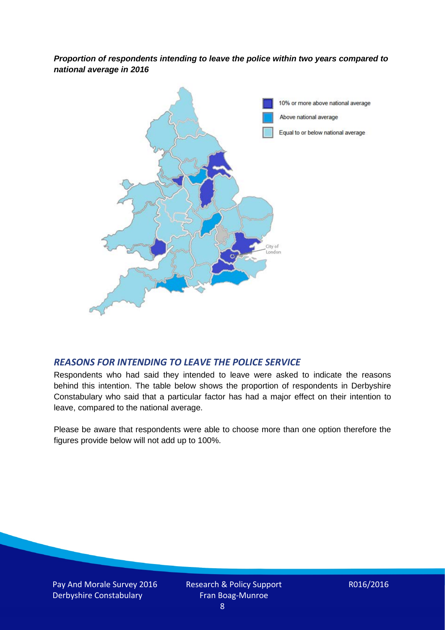*Proportion of respondents intending to leave the police within two years compared to national average in 2016*



#### *REASONS FOR INTENDING TO LEAVE THE POLICE SERVICE*

Respondents who had said they intended to leave were asked to indicate the reasons behind this intention. The table below shows the proportion of respondents in Derbyshire Constabulary who said that a particular factor has had a major effect on their intention to leave, compared to the national average.

Please be aware that respondents were able to choose more than one option therefore the figures provide below will not add up to 100%.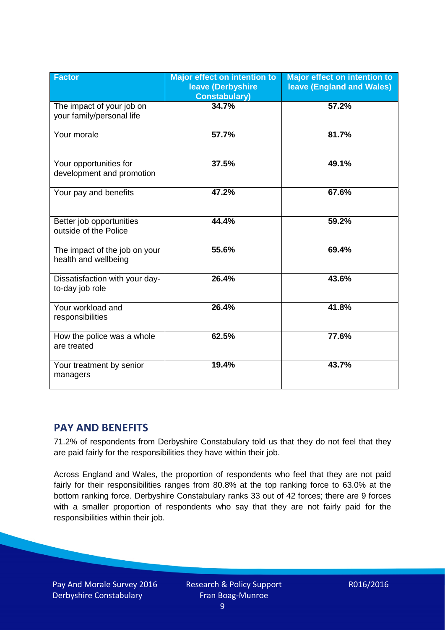| <b>Factor</b>                                          | <b>Major effect on intention to</b><br>leave (Derbyshire<br><b>Constabulary)</b> | <b>Major effect on intention to</b><br>leave (England and Wales) |
|--------------------------------------------------------|----------------------------------------------------------------------------------|------------------------------------------------------------------|
| The impact of your job on<br>your family/personal life | 34.7%                                                                            | 57.2%                                                            |
| Your morale                                            | 57.7%                                                                            | 81.7%                                                            |
| Your opportunities for<br>development and promotion    | 37.5%                                                                            | 49.1%                                                            |
| Your pay and benefits                                  | 47.2%                                                                            | 67.6%                                                            |
| Better job opportunities<br>outside of the Police      | 44.4%                                                                            | 59.2%                                                            |
| The impact of the job on your<br>health and wellbeing  | 55.6%                                                                            | 69.4%                                                            |
| Dissatisfaction with your day-<br>to-day job role      | 26.4%                                                                            | 43.6%                                                            |
| Your workload and<br>responsibilities                  | 26.4%                                                                            | 41.8%                                                            |
| How the police was a whole<br>are treated              | 62.5%                                                                            | 77.6%                                                            |
| Your treatment by senior<br>managers                   | 19.4%                                                                            | 43.7%                                                            |

# **PAY AND BENEFITS**

71.2% of respondents from Derbyshire Constabulary told us that they do not feel that they are paid fairly for the responsibilities they have within their job.

Across England and Wales, the proportion of respondents who feel that they are not paid fairly for their responsibilities ranges from 80.8% at the top ranking force to 63.0% at the bottom ranking force. Derbyshire Constabulary ranks 33 out of 42 forces; there are 9 forces with a smaller proportion of respondents who say that they are not fairly paid for the responsibilities within their job.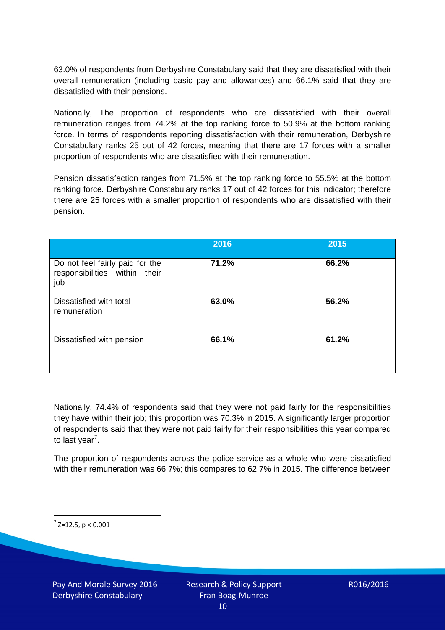63.0% of respondents from Derbyshire Constabulary said that they are dissatisfied with their overall remuneration (including basic pay and allowances) and 66.1% said that they are dissatisfied with their pensions.

Nationally, The proportion of respondents who are dissatisfied with their overall remuneration ranges from 74.2% at the top ranking force to 50.9% at the bottom ranking force. In terms of respondents reporting dissatisfaction with their remuneration, Derbyshire Constabulary ranks 25 out of 42 forces, meaning that there are 17 forces with a smaller proportion of respondents who are dissatisfied with their remuneration.

Pension dissatisfaction ranges from 71.5% at the top ranking force to 55.5% at the bottom ranking force. Derbyshire Constabulary ranks 17 out of 42 forces for this indicator; therefore there are 25 forces with a smaller proportion of respondents who are dissatisfied with their pension.

|                                                                         | 2016  | 2015  |
|-------------------------------------------------------------------------|-------|-------|
| Do not feel fairly paid for the<br>responsibilities within their<br>job | 71.2% | 66.2% |
| Dissatisfied with total<br>remuneration                                 | 63.0% | 56.2% |
| Dissatisfied with pension                                               | 66.1% | 61.2% |

Nationally, 74.4% of respondents said that they were not paid fairly for the responsibilities they have within their job; this proportion was 70.3% in 2015. A significantly larger proportion of respondents said that they were not paid fairly for their responsibilities this year compared to last year<sup>[7](#page-9-0)</sup>.

The proportion of respondents across the police service as a whole who were dissatisfied with their remuneration was 66.7%; this compares to 62.7% in 2015. The difference between

<span id="page-9-0"></span> $7$  Z=12.5, p < 0.001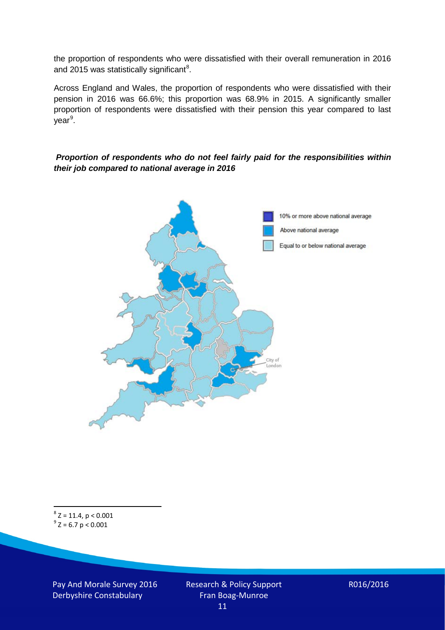the proportion of respondents who were dissatisfied with their overall remuneration in 2016 and 2015 was statistically significant<sup>[8](#page-10-0)</sup>.

Across England and Wales, the proportion of respondents who were dissatisfied with their pension in 2016 was 66.6%; this proportion was 68.9% in 2015. A significantly smaller proportion of respondents were dissatisfied with their pension this year compared to last year<sup>[9](#page-10-1)</sup>.

#### *Proportion of respondents who do not feel fairly paid for the responsibilities within their job compared to national average in 2016*



<span id="page-10-1"></span><span id="page-10-0"></span> $8$  Z = 11.4, p < 0.001  $9^{\circ}$  Z = 6.7 p < 0.001

Pay And Morale Survey 2016 Derbyshire Constabulary

Research & Policy Support Fran Boag-Munroe 11

R016/2016